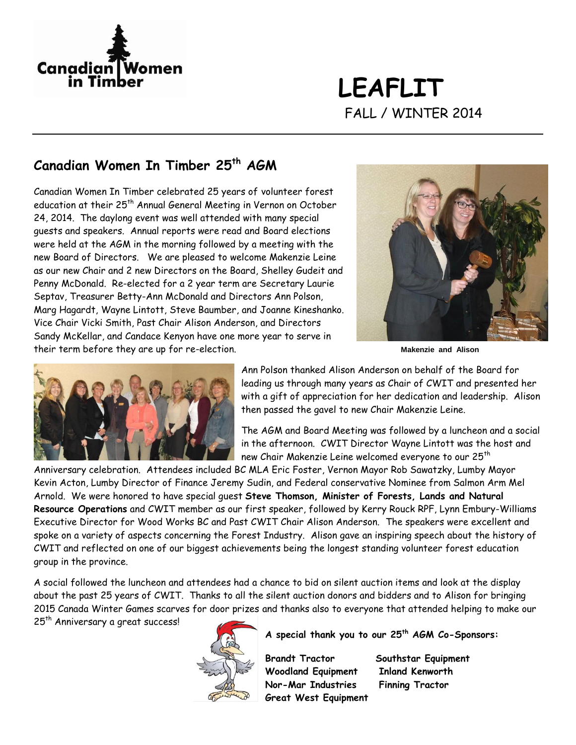

**LEAFLIT** FALL / WINTER 2014

### **Canadian Women In Timber 25th AGM**

Canadian Women In Timber celebrated 25 years of volunteer forest education at their 25<sup>th</sup> Annual General Meeting in Vernon on October 24, 2014. The daylong event was well attended with many special guests and speakers. Annual reports were read and Board elections were held at the AGM in the morning followed by a meeting with the new Board of Directors. We are pleased to welcome Makenzie Leine as our new Chair and 2 new Directors on the Board, Shelley Gudeit and Penny McDonald. Re-elected for a 2 year term are Secretary Laurie Septav, Treasurer Betty-Ann McDonald and Directors Ann Polson, Marg Hagardt, Wayne Lintott, Steve Baumber, and Joanne Kineshanko. Vice Chair Vicki Smith, Past Chair Alison Anderson, and Directors Sandy McKellar, and Candace Kenyon have one more year to serve in their term before they are up for re-election.



 **Makenzie and Alison**



Ann Polson thanked Alison Anderson on behalf of the Board for leading us through many years as Chair of CWIT and presented her with a gift of appreciation for her dedication and leadership. Alison then passed the gavel to new Chair Makenzie Leine.

The AGM and Board Meeting was followed by a luncheon and a social in the afternoon. CWIT Director Wayne Lintott was the host and new Chair Makenzie Leine welcomed everyone to our 25<sup>th</sup>

Anniversary celebration. Attendees included BC MLA Eric Foster, Vernon Mayor Rob Sawatzky, Lumby Mayor Kevin Acton, Lumby Director of Finance Jeremy Sudin, and Federal conservative Nominee from Salmon Arm Mel Arnold. We were honored to have special guest **Steve Thomson, Minister of Forests, Lands and Natural Resource Operations** and CWIT member as our first speaker, followed by Kerry Rouck RPF, Lynn Embury-Williams Executive Director for Wood Works BC and Past CWIT Chair Alison Anderson. The speakers were excellent and spoke on a variety of aspects concerning the Forest Industry. Alison gave an inspiring speech about the history of CWIT and reflected on one of our biggest achievements being the longest standing volunteer forest education group in the province.

A social followed the luncheon and attendees had a chance to bid on silent auction items and look at the display about the past 25 years of CWIT. Thanks to all the silent auction donors and bidders and to Alison for bringing 2015 Canada Winter Games scarves for door prizes and thanks also to everyone that attended helping to make our

25<sup>th</sup> Anniversary a great success!



#### **A special thank you to our 25th AGM Co-Sponsors:**

 **Brandt Tractor Southstar Equipment Woodland Equipment Inland Kenworth Nor-Mar Industries Finning Tractor Great West Equipment**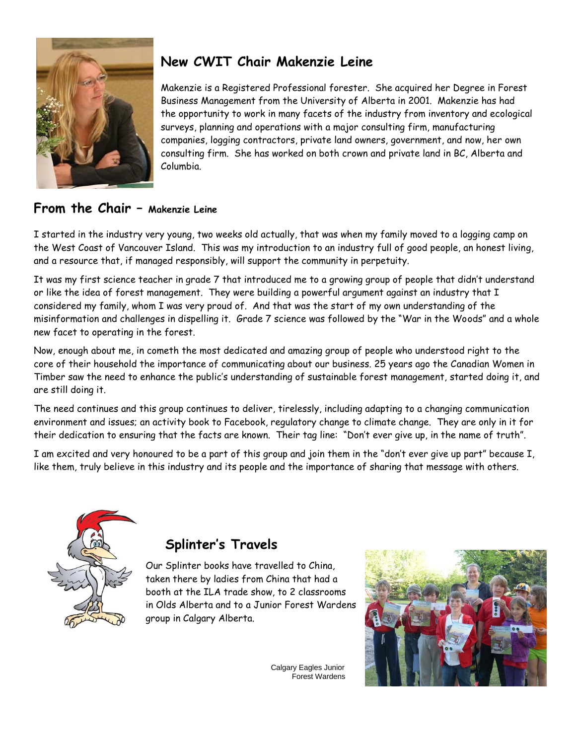

### **New CWIT Chair Makenzie Leine**

Makenzie is a Registered Professional forester. She acquired her Degree in Forest Business Management from the University of Alberta in 2001. Makenzie has had the opportunity to work in many facets of the industry from inventory and ecological surveys, planning and operations with a major consulting firm, manufacturing companies, logging contractors, private land owners, government, and now, her own consulting firm. She has worked on both crown and private land in BC, Alberta and Columbia.

#### **From the Chair – Makenzie Leine**

I started in the industry very young, two weeks old actually, that was when my family moved to a logging camp on the West Coast of Vancouver Island. This was my introduction to an industry full of good people, an honest living, and a resource that, if managed responsibly, will support the community in perpetuity.

It was my first science teacher in grade 7 that introduced me to a growing group of people that didn't understand or like the idea of forest management. They were building a powerful argument against an industry that I considered my family, whom I was very proud of. And that was the start of my own understanding of the misinformation and challenges in dispelling it. Grade 7 science was followed by the "War in the Woods" and a whole new facet to operating in the forest.

Now, enough about me, in cometh the most dedicated and amazing group of people who understood right to the core of their household the importance of communicating about our business. 25 years ago the Canadian Women in Timber saw the need to enhance the public's understanding of sustainable forest management, started doing it, and are still doing it.

The need continues and this group continues to deliver, tirelessly, including adapting to a changing communication environment and issues; an activity book to Facebook, regulatory change to climate change. They are only in it for their dedication to ensuring that the facts are known. Their tag line: "Don't ever give up, in the name of truth".

I am excited and very honoured to be a part of this group and join them in the "don't ever give up part" because I, like them, truly believe in this industry and its people and the importance of sharing that message with others.



# **Splinter's Travels**

Our Splinter books have travelled to China, taken there by ladies from China that had a booth at the ILA trade show, to 2 classrooms in Olds Alberta and to a Junior Forest Wardens group in Calgary Alberta.



Calgary Eagles Junior Forest Wardens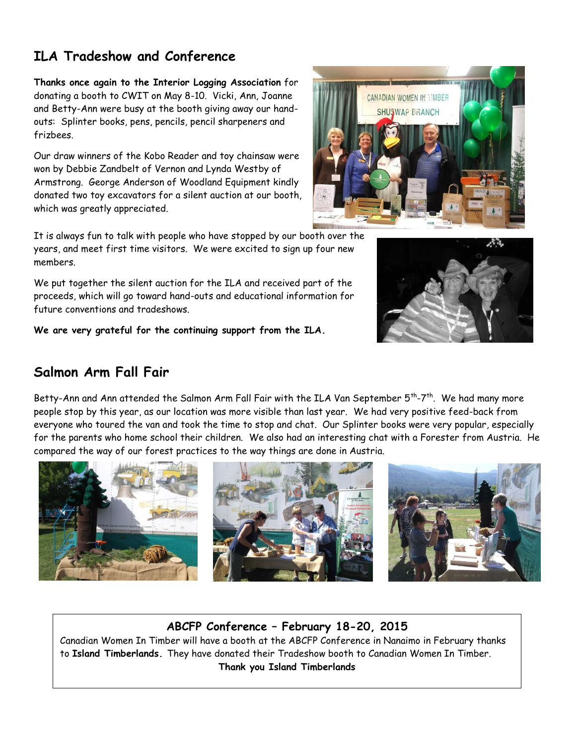# **ILA Tradeshow and Conference**

**Thanks once again to the Interior Logging Association** for donating a booth to CWIT on May 8-10. Vicki, Ann, Joanne and Betty-Ann were busy at the booth giving away our handouts: Splinter books, pens, pencils, pencil sharpeners and frizbees.

Our draw winners of the Kobo Reader and toy chainsaw were won by Debbie Zandbelt of Vernon and Lynda Westby of Armstrong. George Anderson of Woodland Equipment kindly donated two toy excavators for a silent auction at our booth, which was greatly appreciated.

It is always fun to talk with people who have stopped by our booth over the years, and meet first time visitors. We were excited to sign up four new members.

We put together the silent auction for the ILA and received part of the proceeds, which will go toward hand-outs and educational information for future conventions and tradeshows.

**We are very grateful for the continuing support from the ILA.**

# **Salmon Arm Fall Fair**

Betty-Ann and Ann attended the Salmon Arm Fall Fair with the ILA Van September 5<sup>th</sup>-7<sup>th</sup>. We had many more people stop by this year, as our location was more visible than last year. We had very positive feed-back from everyone who toured the van and took the time to stop and chat. Our Splinter books were very popular, especially for the parents who home school their children. We also had an interesting chat with a Forester from Austria. He compared the way of our forest practices to the way things are done in Austria.

#### **ABCFP Conference – February 18-20, 2015**

Canadian Women In Timber will have a booth at the ABCFP Conference in Nanaimo in February thanks to **Island Timberlands.** They have donated their Tradeshow booth to Canadian Women In Timber. **Thank you Island Timberlands**